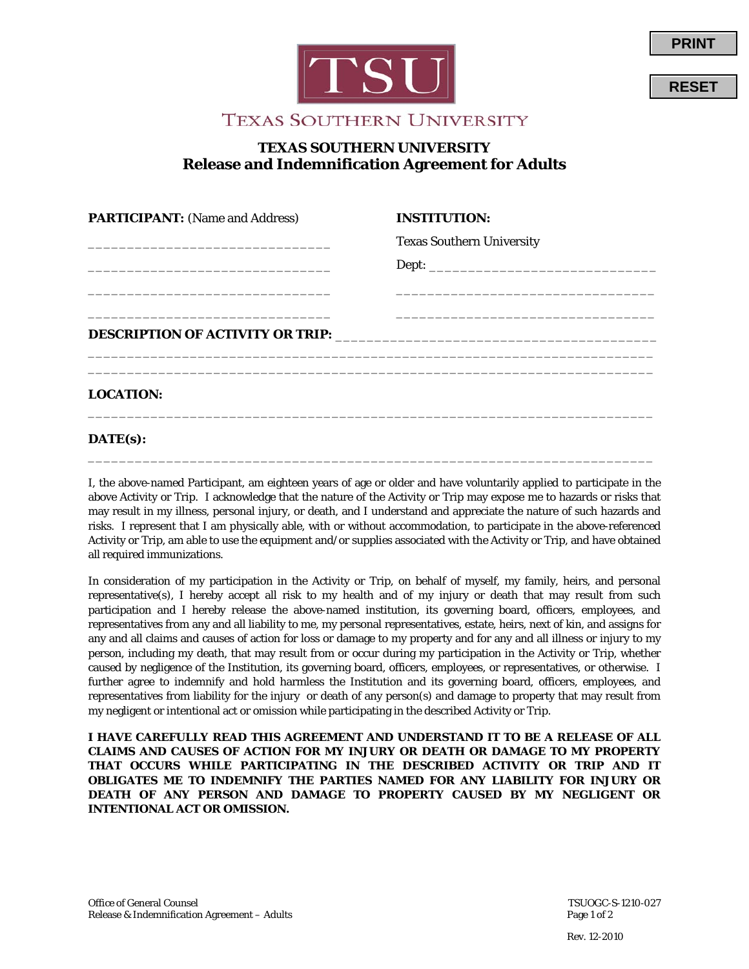



**RESET**

**PRINT**

## **TEXAS SOUTHERN UNIVERSITY Release and Indemnification Agreement for Adults**

| <b>PARTICIPANT:</b> (Name and Address) | <b>INSTITUTION:</b>              |  |
|----------------------------------------|----------------------------------|--|
|                                        | <b>Texas Southern University</b> |  |
|                                        |                                  |  |
|                                        |                                  |  |
|                                        |                                  |  |
|                                        |                                  |  |
|                                        |                                  |  |
|                                        |                                  |  |
| <b>LOCATION:</b>                       |                                  |  |
|                                        |                                  |  |

## **DATE(s):**

I, the above-named Participant, am eighteen years of age or older and have voluntarily applied to participate in the above Activity or Trip. I acknowledge that the nature of the Activity or Trip may expose me to hazards or risks that may result in my illness, personal injury, or death, and I understand and appreciate the nature of such hazards and risks. I represent that I am physically able, with or without accommodation, to participate in the above-referenced Activity or Trip, am able to use the equipment and/or supplies associated with the Activity or Trip, and have obtained all required immunizations.

\_\_\_\_\_\_\_\_\_\_\_\_\_\_\_\_\_\_\_\_\_\_\_\_\_\_\_\_\_\_\_\_\_\_\_\_\_\_\_\_\_\_\_\_\_\_\_\_\_\_\_\_\_\_\_\_\_\_\_\_\_\_\_\_\_\_\_\_\_\_\_\_

In consideration of my participation in the Activity or Trip, on behalf of myself, my family, heirs, and personal representative(s), I hereby accept all risk to my health and of my injury or death that may result from such participation and I hereby release the above-named institution, its governing board, officers, employees, and representatives from any and all liability to me, my personal representatives, estate, heirs, next of kin, and assigns for any and all claims and causes of action for loss or damage to my property and for any and all illness or injury to my person, including my death, that may result from or occur during my participation in the Activity or Trip, whether caused by negligence of the Institution, its governing board, officers, employees, or representatives, or otherwise. I further agree to indemnify and hold harmless the Institution and its governing board, officers, employees, and representatives from liability for the injury or death of any person(s) and damage to property that may result from my negligent or intentional act or omission while participating in the described Activity or Trip.

**I HAVE CAREFULLY READ THIS AGREEMENT AND UNDERSTAND IT TO BE A RELEASE OF ALL CLAIMS AND CAUSES OF ACTION FOR MY INJURY OR DEATH OR DAMAGE TO MY PROPERTY THAT OCCURS WHILE PARTICIPATING IN THE DESCRIBED ACTIVITY OR TRIP AND IT OBLIGATES ME TO INDEMNIFY THE PARTIES NAMED FOR ANY LIABILITY FOR INJURY OR DEATH OF ANY PERSON AND DAMAGE TO PROPERTY CAUSED BY MY NEGLIGENT OR INTENTIONAL ACT OR OMISSION.**